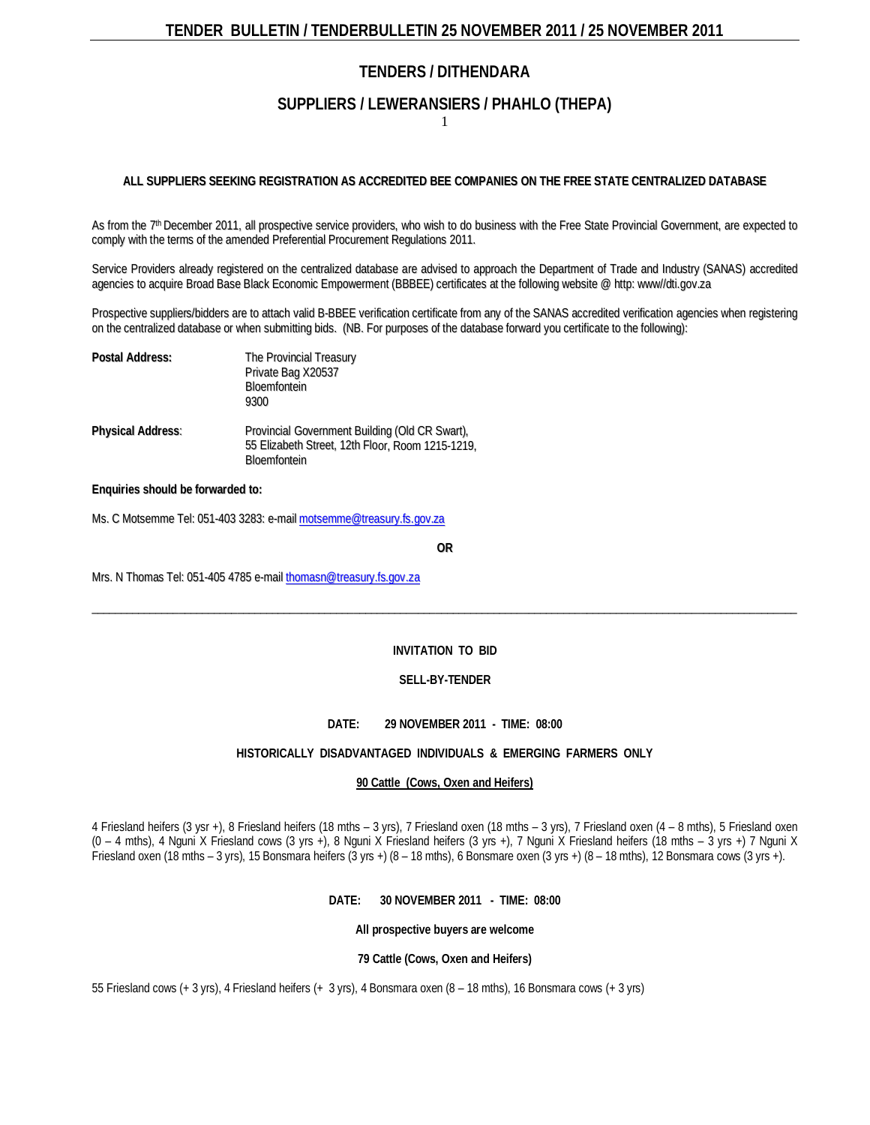### **SUPPLIERS / LEWERANSIERS / PHAHLO (THEPA)**

1

#### **ALL SUPPLIERS SEEKING REGISTRATION AS ACCREDITED BEE COMPANIES ON THE FREE STATE CENTRALIZED DATABASE**

As from the 7<sup>th</sup> December 2011, all prospective service providers, who wish to do business with the Free State Provincial Government, are expected to comply with the terms of the amended Preferential Procurement Regulations 2011.

Service Providers already registered on the centralized database are advised to approach the [Department](http://greengazette.co.za/departments/dti) of Trade and Industry (SANAS) accredited agencies to acquire Broad Base Black Economic Empowerment (BBBEE) certificates at the following website @ http: www//dti.gov.za

Prospective suppliers/bidders are to attach valid B-BBEE verification certificate from any of the SANAS accredited verification agencies when registering on the centralized database or when submitting bids. (NB. For purposes of the database forward you certificate to the following):

| <b>Postal Address:</b>   | The Provincial Treasury<br>Private Bag X20537<br><b>Bloemfontein</b><br>9300                                              |
|--------------------------|---------------------------------------------------------------------------------------------------------------------------|
| <b>Physical Address:</b> | Provincial Government Building (Old CR Swart),<br>55 Elizabeth Street, 12th Floor, Room 1215-1219,<br><b>Bloemfontein</b> |

#### **Enquiries should be forwarded to:**

Ms. C Motsemme Tel: 051-403 3283: e-mail motsemme@treasury.fs.gov.za

**OR**

Mrs. N Thomas Tel: 051-405 4785 e-mail thomasn@treasury.fs.gov.za

#### **INVITATION TO BID**

 $\_$  , and the state of the state of the state of the state of the state of the state of the state of the state of the state of the state of the state of the state of the state of the state of the state of the state of the

#### **SELL-BY-TENDER**

#### **DATE: 29 NOVEMBER 2011 - TIME: 08:00**

#### **HISTORICALLY DISADVANTAGED INDIVIDUALS & EMERGING FARMERS ONLY**

#### **90 Cattle (Cows, Oxen and Heifers)**

4 Friesland heifers (3 ysr +), 8 Friesland heifers (18 mths – 3 yrs), 7 Friesland oxen (18 mths – 3 yrs), 7 Friesland oxen (4 – 8 mths), 5 Friesland oxen (0 – 4 mths), 4 Nguni X Friesland cows (3 yrs +), 8 Nguni X Friesland heifers (3 yrs +), 7 Nguni X Friesland heifers (18 mths – 3 yrs +) 7 Nguni X Friesland oxen (18 mths – 3 yrs), 15 Bonsmara heifers (3 yrs +) (8 – 18 mths), 6 Bonsmare oxen (3 yrs +) (8 – 18 mths), 12 Bonsmara cows (3 yrs +).

#### **DATE: 30 NOVEMBER 2011 - TIME: 08:00**

**All prospective buyers are welcome**

#### **79 Cattle (Cows, Oxen and Heifers)**

55 Friesland cows (+ 3 yrs), 4 Friesland heifers (+ 3 yrs), 4 Bonsmara oxen (8 – 18 mths), 16 Bonsmara cows (+ 3 yrs)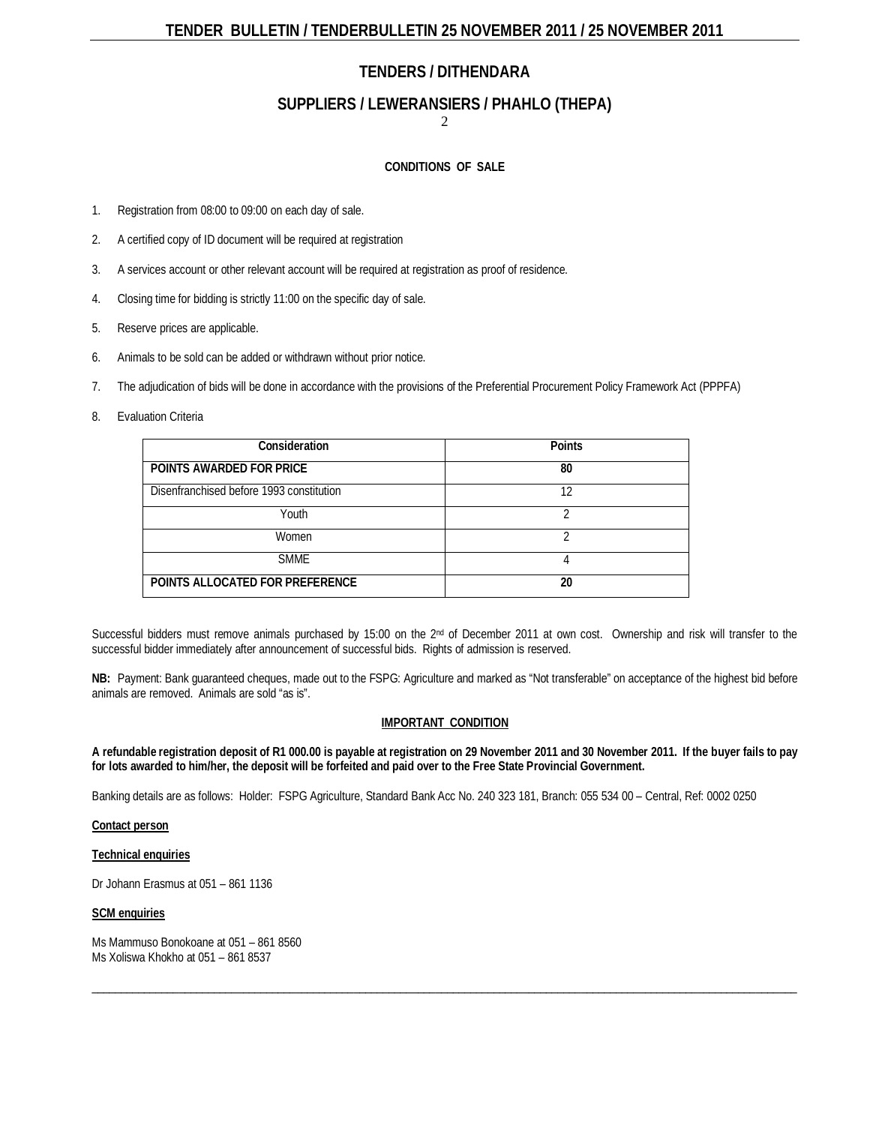### **SUPPLIERS / LEWERANSIERS / PHAHLO (THEPA)**

2

#### **CONDITIONS OF SALE**

- 1. Registration from 08:00 to 09:00 on each day of sale.
- 2. A certified copy of ID document will be required at registration
- 3. A services account or other relevant account will be required at registration as proof of residence.
- 4. Closing time for bidding is strictly 11:00 on the specific day of sale.
- 5. Reserve prices are applicable.
- 6. Animals to be sold can be added or withdrawn without prior notice.
- 7. The adjudication of bids will be done in accordance with the provisions of the [Preferential Procurement Policy Framework Act](http://greengazette.co.za/acts/preferential-procurement-policy-framework-act_2000-005) (PPPFA)
- 8. Evaluation Criteria

| Consideration                            | <b>Points</b> |
|------------------------------------------|---------------|
| POINTS AWARDED FOR PRICE                 | 80            |
| Disenfranchised before 1993 constitution | 12            |
| Youth                                    |               |
| Women                                    |               |
| <b>SMME</b>                              |               |
| POINTS ALLOCATED FOR PREFERENCE          | 20            |

Successful bidders must remove animals purchased by 15:00 on the 2<sup>nd</sup> of December 2011 at own cost. Ownership and risk will transfer to the successful bidder immediately after announcement of successful bids. Rights of admission is reserved.

**NB:** Payment: Bank guaranteed cheques, made out to the FSPG: Agriculture and marked as "Not transferable" on acceptance of the highest bid before animals are removed. Animals are sold "as is".

#### **IMPORTANT CONDITION**

**A refundable registration deposit of R1 000.00 is payable at registration on 29 November 2011 and 30 November 2011. If the buyer fails to pay for lots awarded to him/her, the deposit will be forfeited and paid over to the Free State Provincial Government.**

 $\_$  , and the set of the set of the set of the set of the set of the set of the set of the set of the set of the set of the set of the set of the set of the set of the set of the set of the set of the set of the set of th

Banking details are as follows: Holder: FSPG Agriculture, Standard Bank Acc No. 240 323 181, Branch: 055 534 00 – Central, Ref: 0002 0250

#### **[Contact](http://greengazette.co.za/acts/act_1969-049) person**

#### **Technical enquiries**

Dr Johann Erasmus at 051 – 861 1136

#### **SCM enquiries**

Ms Mammuso Bonokoane at 051 – 861 8560 Ms Xoliswa Khokho at 051 – 861 8537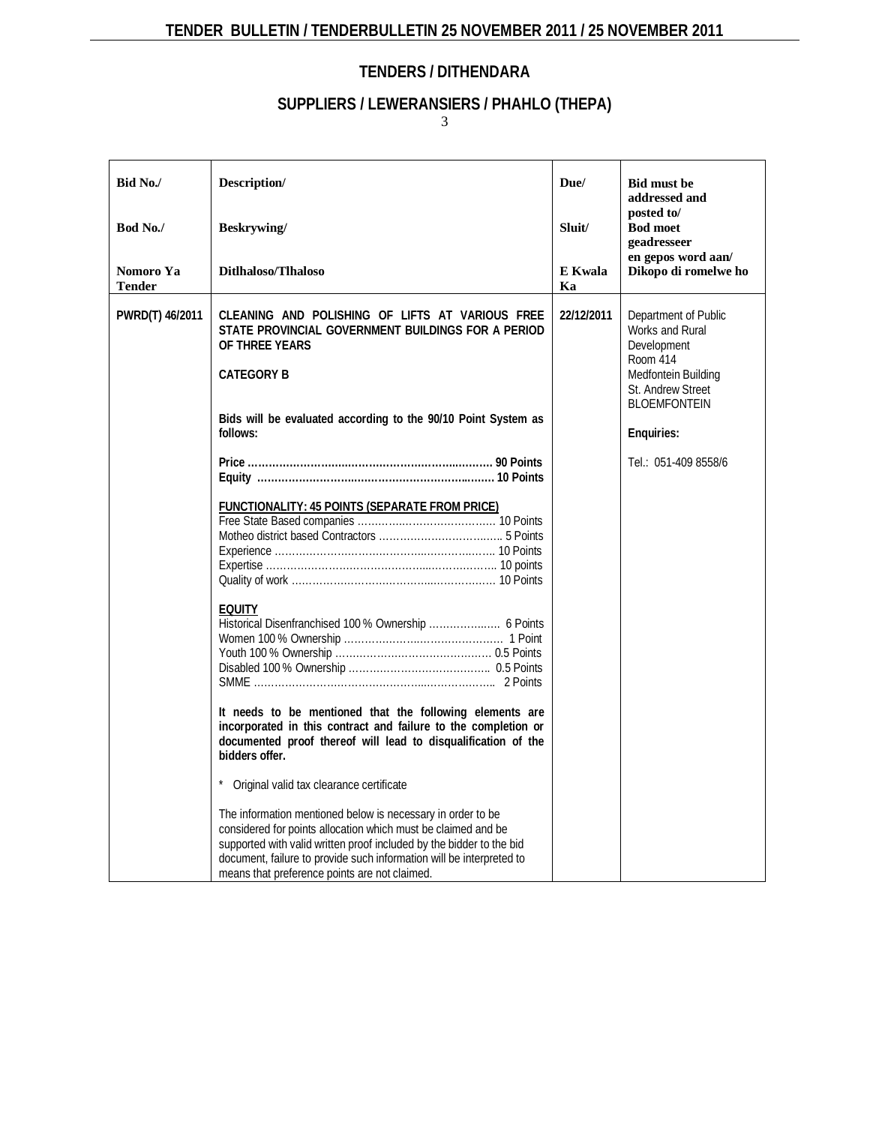# **SUPPLIERS / LEWERANSIERS / PHAHLO (THEPA)**

| Bid No./            | Description/                                                                                                                                                                                                                                                                                                                                                                                                                                                                                                                                                                                                                                                                                                                                                                                                                                                                                             | Due/          | <b>Bid must be</b><br>addressed and                                                                                                                                         |
|---------------------|----------------------------------------------------------------------------------------------------------------------------------------------------------------------------------------------------------------------------------------------------------------------------------------------------------------------------------------------------------------------------------------------------------------------------------------------------------------------------------------------------------------------------------------------------------------------------------------------------------------------------------------------------------------------------------------------------------------------------------------------------------------------------------------------------------------------------------------------------------------------------------------------------------|---------------|-----------------------------------------------------------------------------------------------------------------------------------------------------------------------------|
| Bod No./            | Beskrywing/                                                                                                                                                                                                                                                                                                                                                                                                                                                                                                                                                                                                                                                                                                                                                                                                                                                                                              | Sluit/        | posted to/<br><b>Bod moet</b><br>geadresseer<br>en gepos word aan/                                                                                                          |
| Nomoro Ya<br>Tender | Ditlhaloso/Tlhaloso                                                                                                                                                                                                                                                                                                                                                                                                                                                                                                                                                                                                                                                                                                                                                                                                                                                                                      | E Kwala<br>Ka | Dikopo di romelwe ho                                                                                                                                                        |
| PWRD(T) 46/2011     | CLEANING AND POLISHING OF LIFTS AT VARIOUS FREE<br>STATE PROVINCIAL GOVERNMENT BUILDINGS FOR A PERIOD<br>OF THREE YEARS<br><b>CATEGORY B</b><br>Bids will be evaluated according to the 90/10 Point System as<br>follows:<br><b>FUNCTIONALITY: 45 POINTS (SEPARATE FROM PRICE)</b><br><b>EQUITY</b><br>Historical Disenfranchised 100 % Ownership  6 Points<br>It needs to be mentioned that the following elements are<br>incorporated in this contract and failure to the completion or<br>documented proof thereof will lead to disqualification of the<br>bidders offer.<br>Original valid tax clearance certificate<br>The information mentioned below is necessary in order to be<br>considered for points allocation which must be claimed and be<br>supported with valid written proof included by the bidder to the bid<br>document, failure to provide such information will be interpreted to | 22/12/2011    | Department of Public<br>Works and Rural<br>Development<br>Room 414<br>Medfontein Building<br>St. Andrew Street<br><b>BLOEMFONTEIN</b><br>Enquiries:<br>Tel.: 051-409 8558/6 |
|                     | means that preference points are not claimed.                                                                                                                                                                                                                                                                                                                                                                                                                                                                                                                                                                                                                                                                                                                                                                                                                                                            |               |                                                                                                                                                                             |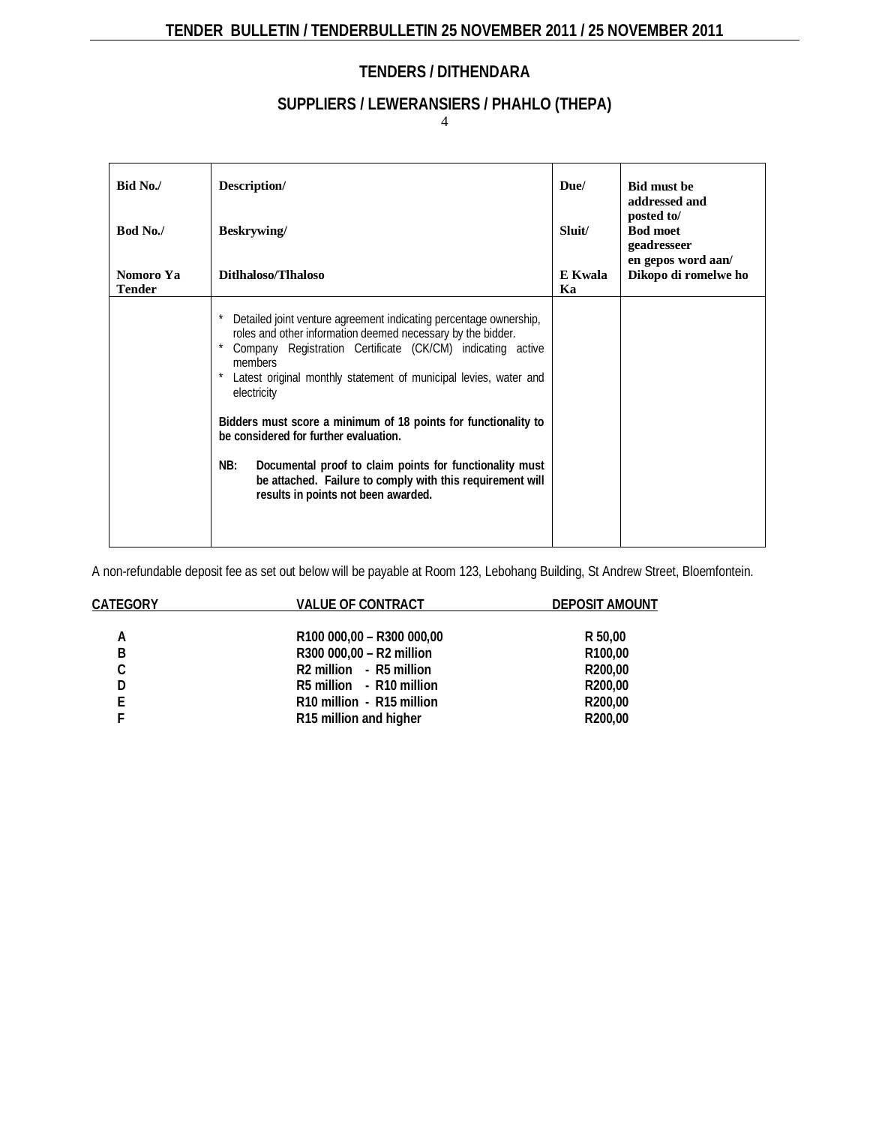# **SUPPLIERS / LEWERANSIERS / PHAHLO (THEPA)**

4

| Bid No./                   | Description/                                                                                                                                                                                                                                                                                                                                                                                                                                                                                                                                                                  | Due/          | <b>Bid must be</b><br>addressed and          |
|----------------------------|-------------------------------------------------------------------------------------------------------------------------------------------------------------------------------------------------------------------------------------------------------------------------------------------------------------------------------------------------------------------------------------------------------------------------------------------------------------------------------------------------------------------------------------------------------------------------------|---------------|----------------------------------------------|
| Bod No./                   | Beskrywing/                                                                                                                                                                                                                                                                                                                                                                                                                                                                                                                                                                   | Sluit/        | posted to/<br><b>Bod moet</b><br>geadresseer |
| Nomoro Ya<br><b>Tender</b> | Ditlhaloso/Tlhaloso                                                                                                                                                                                                                                                                                                                                                                                                                                                                                                                                                           | E Kwala<br>Kа | en gepos word aan/<br>Dikopo di romelwe ho   |
|                            | Detailed joint venture agreement indicating percentage ownership,<br>roles and other information deemed necessary by the bidder.<br>Company Registration Certificate (CK/CM) indicating active<br>members<br>Latest original monthly statement of municipal levies, water and<br>electricity<br>Bidders must score a minimum of 18 points for functionality to<br>be considered for further evaluation.<br>NB:<br>Documental proof to claim points for functionality must<br>be attached. Failure to comply with this requirement will<br>results in points not been awarded. |               |                                              |

A non-refundable deposit fee as set out below will be payable at Room 123, Lebohang Building, St Andrew Street, Bloemfontein.

| CATEGORY | <b>VALUE OF CONTRACT</b>                        | <b>DEPOSIT AMOUNT</b> |
|----------|-------------------------------------------------|-----------------------|
|          |                                                 |                       |
| А        | R100 000,00 - R300 000,00                       | R 50,00               |
| B        | R300 000,00 - R2 million                        | R100,00               |
| C        | R <sub>2</sub> million - R <sub>5</sub> million | R200,00               |
| D        | R5 million - R10 million                        | R <sub>200</sub> ,00  |
| F.       | R10 million - R15 million                       | R200,00               |
|          | R15 million and higher                          | R200,00               |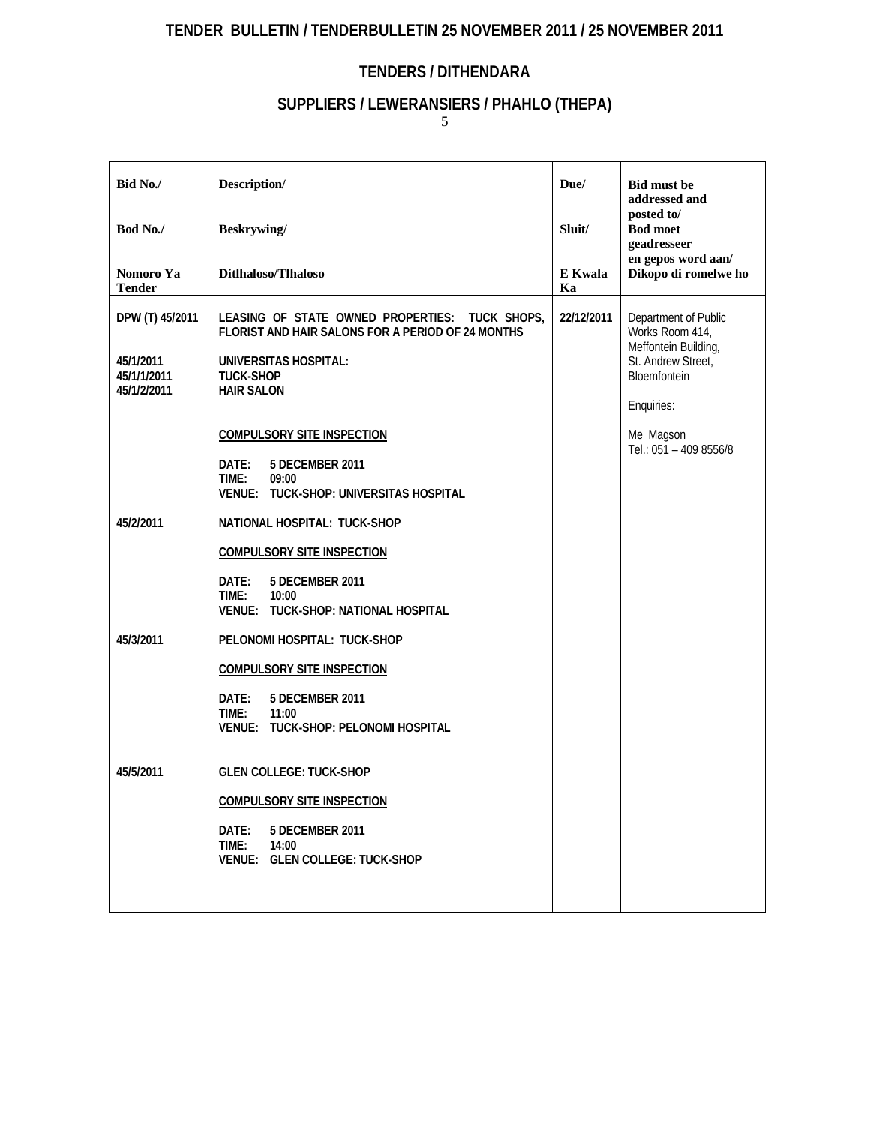# **SUPPLIERS / LEWERANSIERS / PHAHLO (THEPA)**

| Bid No./                                                                | Description/                                                                                                                                                                                                                                                                                                                                                                   | Due/          | <b>Bid must be</b><br>addressed and                                                                                                                        |
|-------------------------------------------------------------------------|--------------------------------------------------------------------------------------------------------------------------------------------------------------------------------------------------------------------------------------------------------------------------------------------------------------------------------------------------------------------------------|---------------|------------------------------------------------------------------------------------------------------------------------------------------------------------|
| Bod No./                                                                | Beskrywing/                                                                                                                                                                                                                                                                                                                                                                    | Sluit/        | posted to/<br><b>Bod moet</b><br>geadresseer                                                                                                               |
| Nomoro Ya<br><b>Tender</b>                                              | Ditlhaloso/Tlhaloso                                                                                                                                                                                                                                                                                                                                                            | E Kwala<br>Ka | en gepos word aan/<br>Dikopo di romelwe ho                                                                                                                 |
| DPW (T) 45/2011<br>45/1/2011<br>45/1/1/2011<br>45/1/2/2011<br>45/2/2011 | LEASING OF STATE OWNED PROPERTIES: TUCK SHOPS,<br>FLORIST AND HAIR SALONS FOR A PERIOD OF 24 MONTHS<br><b>UNIVERSITAS HOSPITAL:</b><br><b>TUCK-SHOP</b><br><b>HAIR SALON</b><br><b>COMPULSORY SITE INSPECTION</b><br>DATE:<br>5 DECEMBER 2011<br>TIME:<br>09:00<br>VENUE: TUCK-SHOP: UNIVERSITAS HOSPITAL<br>NATIONAL HOSPITAL: TUCK-SHOP<br><b>COMPULSORY SITE INSPECTION</b> | 22/12/2011    | Department of Public<br>Works Room 414,<br>Meffontein Building,<br>St. Andrew Street,<br>Bloemfontein<br>Enquiries:<br>Me Magson<br>Tel.: 051 - 409 8556/8 |
|                                                                         | DATE:<br>5 DECEMBER 2011<br>TIME:<br>10:00<br>VENUE: TUCK-SHOP: NATIONAL HOSPITAL                                                                                                                                                                                                                                                                                              |               |                                                                                                                                                            |
| 45/3/2011                                                               | PELONOMI HOSPITAL: TUCK-SHOP<br><b>COMPULSORY SITE INSPECTION</b><br>Date:<br>5 DECEMBER 2011<br>TIME:<br>11:00<br>VENUE: TUCK-SHOP: PELONOMI HOSPITAL                                                                                                                                                                                                                         |               |                                                                                                                                                            |
| 45/5/2011                                                               | <b>GLEN COLLEGE: TUCK-SHOP</b><br><b>COMPULSORY SITE INSPECTION</b><br>Date:<br>5 DECEMBER 2011<br>TIME:<br>14:00<br>VENUE: GLEN COLLEGE: TUCK-SHOP                                                                                                                                                                                                                            |               |                                                                                                                                                            |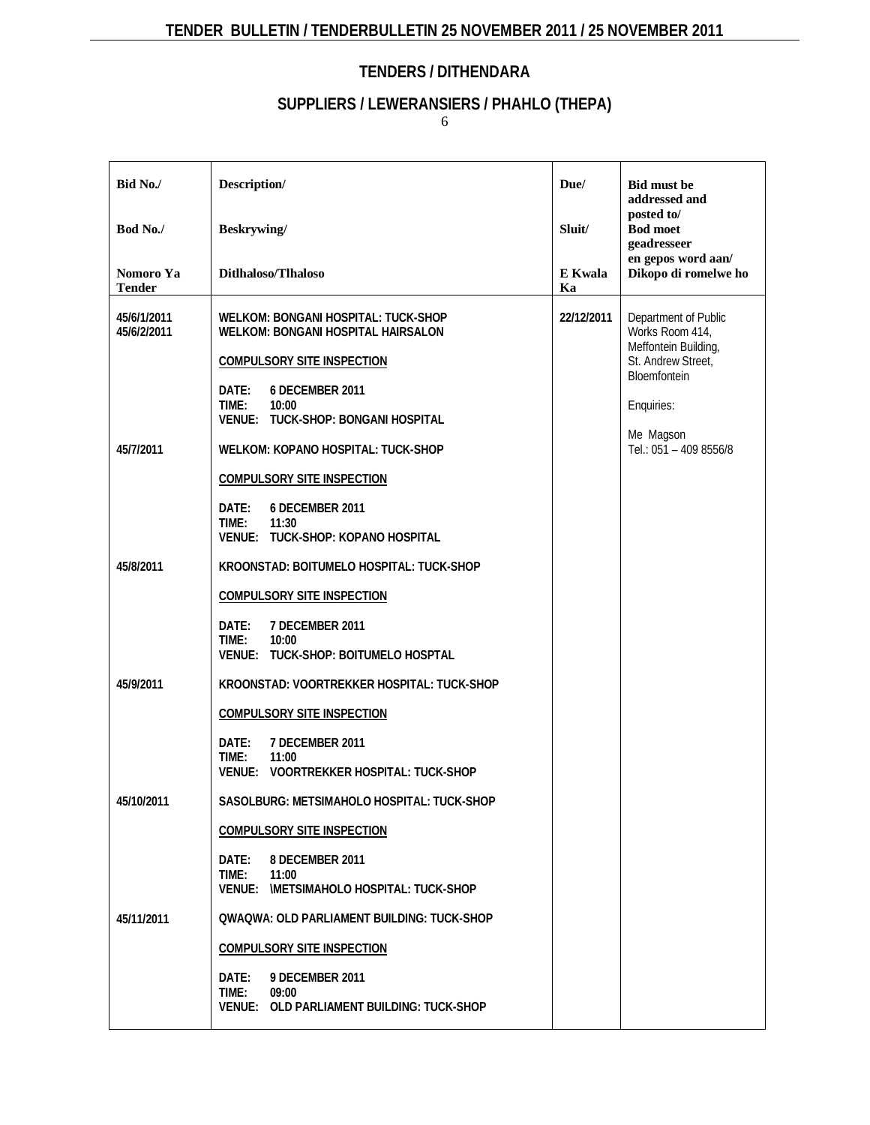# **SUPPLIERS / LEWERANSIERS / PHAHLO (THEPA)**

| Bid No./                   | Description/                                                                                                                                                                      | Due/          | <b>Bid must be</b><br>addressed and                                                                   |  |
|----------------------------|-----------------------------------------------------------------------------------------------------------------------------------------------------------------------------------|---------------|-------------------------------------------------------------------------------------------------------|--|
| Bod No./                   | <b>Beskrywing</b> /                                                                                                                                                               | Sluit/        | posted to/<br><b>Bod moet</b><br>geadresseer                                                          |  |
| Nomoro Ya<br><b>Tender</b> | Ditlhaloso/Tlhaloso                                                                                                                                                               | E Kwala<br>Ka | en gepos word aan/<br>Dikopo di romelwe ho                                                            |  |
| 45/6/1/2011<br>45/6/2/2011 | WELKOM: BONGANI HOSPITAL: TUCK-SHOP<br><b>WELKOM: BONGANI HOSPITAL HAIRSALON</b><br><b>COMPULSORY SITE INSPECTION</b>                                                             | 22/12/2011    | Department of Public<br>Works Room 414,<br>Meffontein Building,<br>St. Andrew Street,<br>Bloemfontein |  |
| 45/7/2011                  | 6 DECEMBER 2011<br>DATE:<br>TIME:<br>10:00<br>VENUE: TUCK-SHOP: BONGANI HOSPITAL<br><b>WELKOM: KOPANO HOSPITAL: TUCK-SHOP</b>                                                     |               | Enquiries:<br>Me Magson<br>Tel.: 051 - 409 8556/8                                                     |  |
|                            | <b>COMPULSORY SITE INSPECTION</b><br>6 DECEMBER 2011<br>Date:<br>TIME:<br>11:30<br>VENUE: TUCK-SHOP: KOPANO HOSPITAL                                                              |               |                                                                                                       |  |
| 45/8/2011                  | KROONSTAD: BOITUMELO HOSPITAL: TUCK-SHOP<br><b>COMPULSORY SITE INSPECTION</b><br>7 DECEMBER 2011<br>Date:<br>TIME:<br>10:00<br>VENUE: TUCK-SHOP: BOITUMELO HOSPTAL                |               |                                                                                                       |  |
| 45/9/2011                  | KROONSTAD: VOORTREKKER HOSPITAL: TUCK-SHOP<br><b>COMPULSORY SITE INSPECTION</b><br>DATE:<br>7 DECEMBER 2011<br>TIME:<br>11:00<br>VENUE: VOORTREKKER HOSPITAL: TUCK-SHOP           |               |                                                                                                       |  |
| 45/10/2011                 | SASOLBURG: METSIMAHOLO HOSPITAL: TUCK-SHOP<br><b>COMPULSORY SITE INSPECTION</b><br>DATE:<br>8 DECEMBER 2011<br>TIME:<br>11:00<br>VENUE: IMETSIMAHOLO HOSPITAL: TUCK-SHOP          |               |                                                                                                       |  |
| 45/11/2011                 | QWAQWA: OLD PARLIAMENT BUILDING: TUCK-SHOP<br><b>COMPULSORY SITE INSPECTION</b><br><b>9 DECEMBER 2011</b><br>DATE:<br>TIME:<br>09:00<br>VENUE: OLD PARLIAMENT BUILDING: TUCK-SHOP |               |                                                                                                       |  |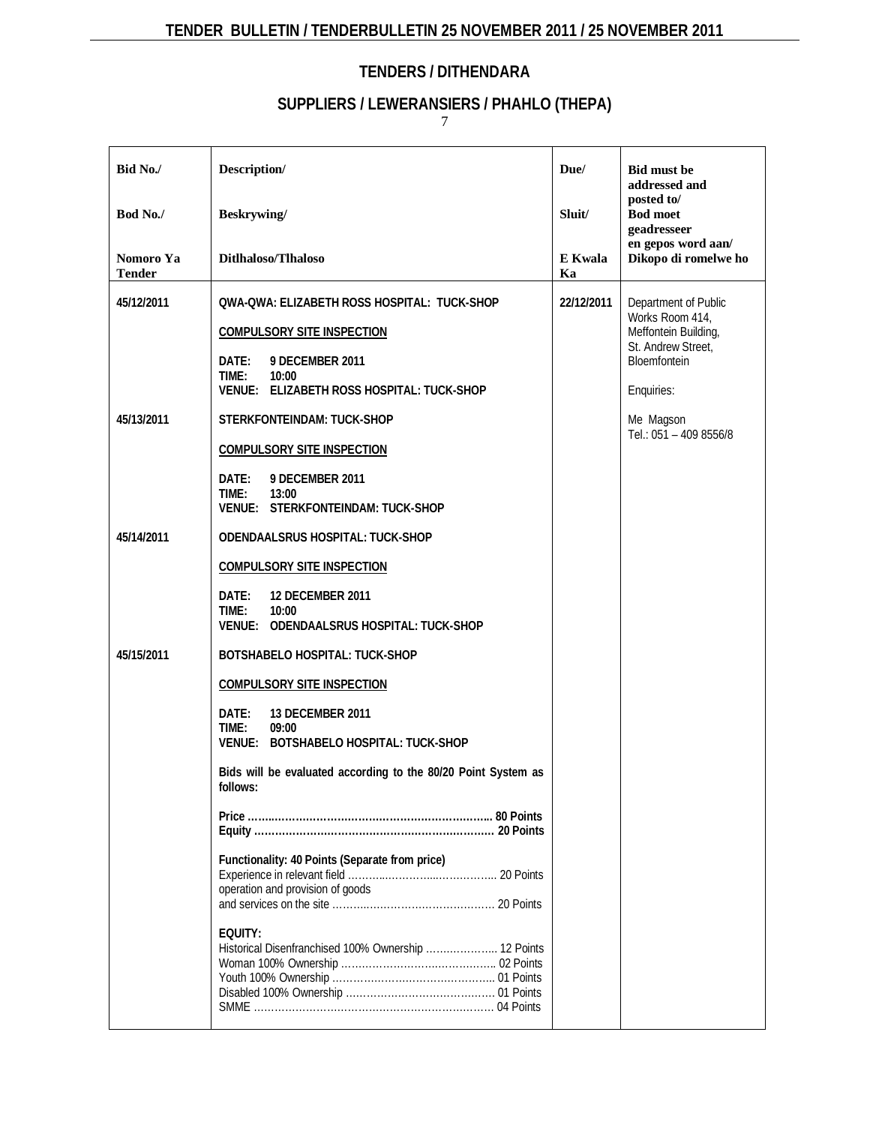# **SUPPLIERS / LEWERANSIERS / PHAHLO (THEPA)**

| Bid No./                   | Description/                                                                                                                                                                                                                                                                                                                              | Due/          | <b>Bid must be</b><br>addressed and                                                                                                                        |  |  |
|----------------------------|-------------------------------------------------------------------------------------------------------------------------------------------------------------------------------------------------------------------------------------------------------------------------------------------------------------------------------------------|---------------|------------------------------------------------------------------------------------------------------------------------------------------------------------|--|--|
| Bod No./                   | <b>Beskrywing</b> /                                                                                                                                                                                                                                                                                                                       | Sluit/        | posted to/<br><b>Bod moet</b><br>geadresseer                                                                                                               |  |  |
| Nomoro Ya<br><b>Tender</b> | Ditlhaloso/Tlhaloso                                                                                                                                                                                                                                                                                                                       | E Kwala<br>Ka | en gepos word aan/<br>Dikopo di romelwe ho                                                                                                                 |  |  |
| 45/12/2011<br>45/13/2011   | QWA-QWA: ELIZABETH ROSS HOSPITAL: TUCK-SHOP<br><b>COMPULSORY SITE INSPECTION</b><br>DATE:<br>9 DECEMBER 2011<br>TIME:<br>10:00<br>VENUE: ELIZABETH ROSS HOSPITAL: TUCK-SHOP<br>STERKFONTEINDAM: TUCK-SHOP<br><b>COMPULSORY SITE INSPECTION</b>                                                                                            | 22/12/2011    | Department of Public<br>Works Room 414,<br>Meffontein Building,<br>St. Andrew Street,<br>Bloemfontein<br>Enquiries:<br>Me Magson<br>Tel.: 051 - 409 8556/8 |  |  |
|                            | DATE:<br>9 DECEMBER 2011<br>TIME:<br>13:00<br><b>VENUE: STERKFONTEINDAM: TUCK-SHOP</b>                                                                                                                                                                                                                                                    |               |                                                                                                                                                            |  |  |
| 45/14/2011                 | ODENDAALSRUS HOSPITAL: TUCK-SHOP<br><b>COMPULSORY SITE INSPECTION</b><br>DATE:<br><b>12 DECEMBER 2011</b><br>TIME:<br>10:00<br>VENUE: ODENDAALSRUS HOSPITAL: TUCK-SHOP                                                                                                                                                                    |               |                                                                                                                                                            |  |  |
| 45/15/2011                 | BOTSHABELO HOSPITAL: TUCK-SHOP<br><b>COMPULSORY SITE INSPECTION</b><br>13 DECEMBER 2011<br>DATE:<br>TIME:<br>09:00<br>VENUE: BOTSHABELO HOSPITAL: TUCK-SHOP<br>Bids will be evaluated according to the 80/20 Point System as<br>follows:<br>Functionality: 40 Points (Separate from price)<br>operation and provision of goods<br>EQUITY: |               |                                                                                                                                                            |  |  |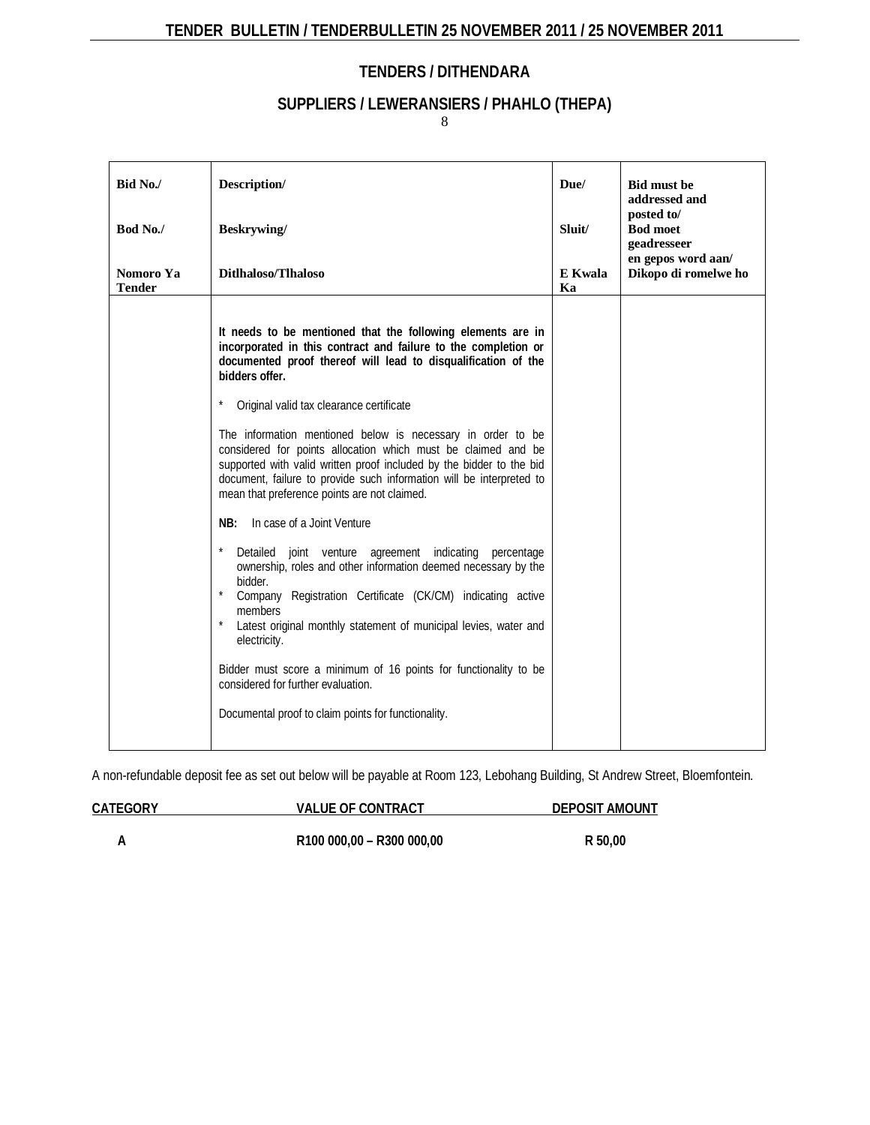# **SUPPLIERS / LEWERANSIERS / PHAHLO (THEPA)**

8

| Bid No./<br>Bod No./       | Description/<br>Beskrywing/                                                                                                                                                                                                                                                                                                                                                                                                                                                                                                                                                                                                                                                                                                                                                                                                                                                                                                                                                                                                                                                                               | Due/<br>Sluit/ | <b>Bid must be</b><br>addressed and<br>posted to/<br><b>Bod moet</b><br>geadresseer |
|----------------------------|-----------------------------------------------------------------------------------------------------------------------------------------------------------------------------------------------------------------------------------------------------------------------------------------------------------------------------------------------------------------------------------------------------------------------------------------------------------------------------------------------------------------------------------------------------------------------------------------------------------------------------------------------------------------------------------------------------------------------------------------------------------------------------------------------------------------------------------------------------------------------------------------------------------------------------------------------------------------------------------------------------------------------------------------------------------------------------------------------------------|----------------|-------------------------------------------------------------------------------------|
| Nomoro Ya<br><b>Tender</b> | Ditlhaloso/Tlhaloso                                                                                                                                                                                                                                                                                                                                                                                                                                                                                                                                                                                                                                                                                                                                                                                                                                                                                                                                                                                                                                                                                       | E Kwala<br>Ka  | en gepos word aan/<br>Dikopo di romelwe ho                                          |
|                            | It needs to be mentioned that the following elements are in<br>incorporated in this contract and failure to the completion or<br>documented proof thereof will lead to disqualification of the<br>bidders offer.<br>Original valid tax clearance certificate<br>The information mentioned below is necessary in order to be<br>considered for points allocation which must be claimed and be<br>supported with valid written proof included by the bidder to the bid<br>document, failure to provide such information will be interpreted to<br>mean that preference points are not claimed.<br>In case of a Joint Venture<br>NB:<br>Detailed joint venture agreement indicating<br>percentage<br>ownership, roles and other information deemed necessary by the<br>bidder.<br>Company Registration Certificate (CK/CM) indicating active<br>members<br>Latest original monthly statement of municipal levies, water and<br>electricity.<br>Bidder must score a minimum of 16 points for functionality to be<br>considered for further evaluation.<br>Documental proof to claim points for functionality. |                |                                                                                     |

A non-refundable deposit fee as set out below will be payable at Room 123, Lebohang Building, St Andrew Street, Bloemfontein.

| CATEGORY | <b>VALUE OF CONTRACT</b>  | DEPOSIT AMOUNT |
|----------|---------------------------|----------------|
|          | R100 000,00 - R300 000,00 | R 50.00        |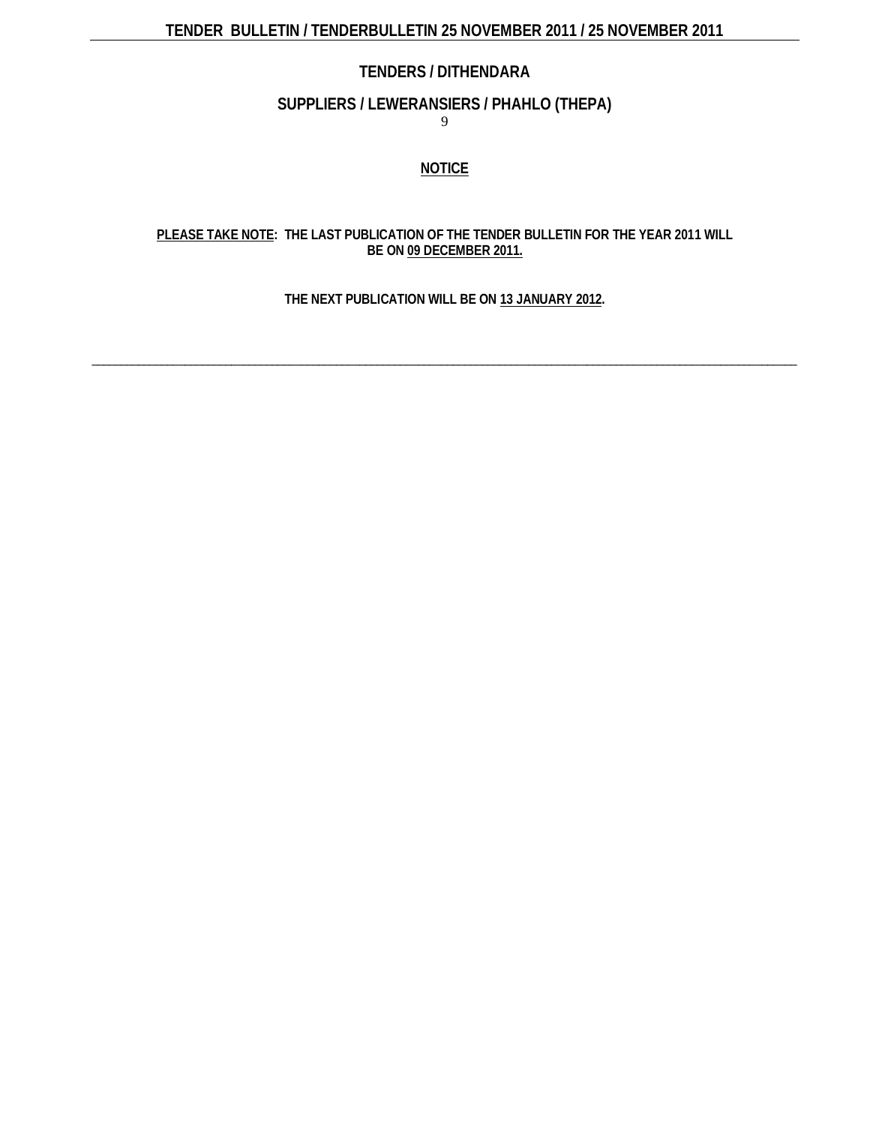### **SUPPLIERS / LEWERANSIERS / PHAHLO (THEPA)**

9

### **NOTICE**

### **PLEASE TAKE NOTE: THE LAST PUBLICATION OF THE TENDER BULLETIN FOR THE YEAR 2011 WILL BE ON 09 DECEMBER 2011.**

### **THE NEXT PUBLICATION WILL BE ON 13 JANUARY 2012.**

\_\_\_\_\_\_\_\_\_\_\_\_\_\_\_\_\_\_\_\_\_\_\_\_\_\_\_\_\_\_\_\_\_\_\_\_\_\_\_\_\_\_\_\_\_\_\_\_\_\_\_\_\_\_\_\_\_\_\_\_\_\_\_\_\_\_\_\_\_\_\_\_\_\_\_\_\_\_\_\_\_\_\_\_\_\_\_\_\_\_\_\_\_\_\_\_\_\_\_\_\_\_\_\_\_\_\_\_\_\_\_\_\_\_\_\_\_\_\_\_\_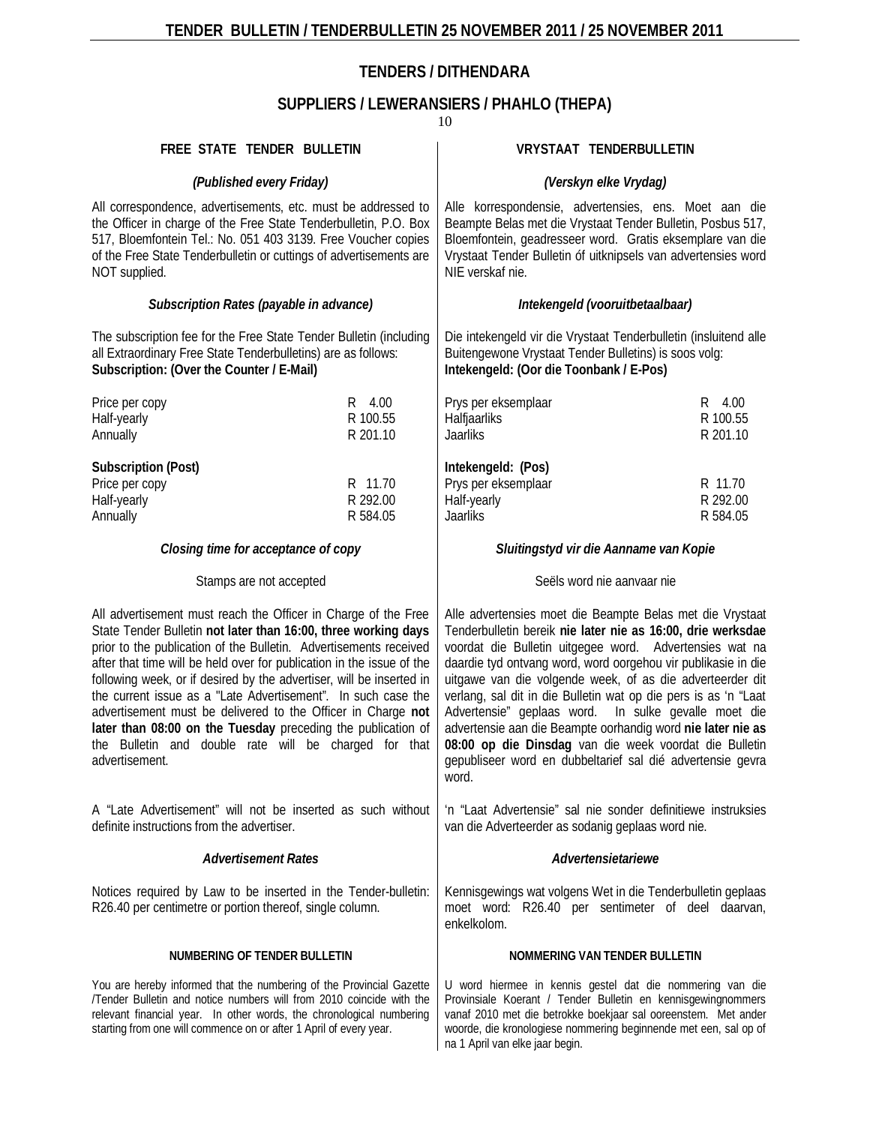# **SUPPLIERS / LEWERANSIERS / PHAHLO (THEPA)**

| FREE STATE TENDER BULLETIN                                                                                                                                                                                                                                                                                                                                                                                                                                                                                                                                                                                                         |                                 | VRYSTAAT TENDERBULLETIN                                                                                                                                                                                                                                                                                                                                                                                                                                                                                                                                                                                                                      |                                 |  |
|------------------------------------------------------------------------------------------------------------------------------------------------------------------------------------------------------------------------------------------------------------------------------------------------------------------------------------------------------------------------------------------------------------------------------------------------------------------------------------------------------------------------------------------------------------------------------------------------------------------------------------|---------------------------------|----------------------------------------------------------------------------------------------------------------------------------------------------------------------------------------------------------------------------------------------------------------------------------------------------------------------------------------------------------------------------------------------------------------------------------------------------------------------------------------------------------------------------------------------------------------------------------------------------------------------------------------------|---------------------------------|--|
| (Published every Friday)                                                                                                                                                                                                                                                                                                                                                                                                                                                                                                                                                                                                           |                                 | (Verskyn elke Vrydag)                                                                                                                                                                                                                                                                                                                                                                                                                                                                                                                                                                                                                        |                                 |  |
| All correspondence, advertisements, etc. must be addressed to<br>the Officer in charge of the Free State Tenderbulletin, P.O. Box<br>517, Bloemfontein Tel.: No. 051 403 3139. Free Voucher copies<br>of the Free State Tenderbulletin or cuttings of advertisements are<br>NOT supplied.                                                                                                                                                                                                                                                                                                                                          |                                 | Alle korrespondensie, advertensies, ens. Moet aan die<br>Beampte Belas met die Vrystaat Tender Bulletin, Posbus 517,<br>Bloemfontein, geadresseer word. Gratis eksemplare van die<br>Vrystaat Tender Bulletin of uitknipsels van advertensies word<br>NIE verskaf nie.                                                                                                                                                                                                                                                                                                                                                                       |                                 |  |
| Subscription Rates (payable in advance)                                                                                                                                                                                                                                                                                                                                                                                                                                                                                                                                                                                            |                                 | Intekengeld (vooruitbetaalbaar)                                                                                                                                                                                                                                                                                                                                                                                                                                                                                                                                                                                                              |                                 |  |
| The subscription fee for the Free State Tender Bulletin (including<br>all Extraordinary Free State Tenderbulletins) are as follows:<br>Subscription: (Over the Counter / E-Mail)                                                                                                                                                                                                                                                                                                                                                                                                                                                   |                                 | Die intekengeld vir die Vrystaat Tenderbulletin (insluitend alle<br>Buitengewone Vrystaat Tender Bulletins) is soos volg:<br>Intekengeld: (Oor die Toonbank / E-Pos)                                                                                                                                                                                                                                                                                                                                                                                                                                                                         |                                 |  |
| Price per copy<br>Half-yearly<br>Annually                                                                                                                                                                                                                                                                                                                                                                                                                                                                                                                                                                                          | R 4.00<br>R 100.55<br>R 201.10  | Prys per eksemplaar<br>Halfjaarliks<br>Jaarliks                                                                                                                                                                                                                                                                                                                                                                                                                                                                                                                                                                                              | R 4.00<br>R 100.55<br>R 201.10  |  |
| Subscription (Post)<br>Price per copy<br>Half-yearly<br>Annually                                                                                                                                                                                                                                                                                                                                                                                                                                                                                                                                                                   | R 11.70<br>R 292.00<br>R 584.05 | Intekengeld: (Pos)<br>Prys per eksemplaar<br>Half-yearly<br>Jaarliks                                                                                                                                                                                                                                                                                                                                                                                                                                                                                                                                                                         | R 11.70<br>R 292.00<br>R 584.05 |  |
| Closing time for acceptance of copy                                                                                                                                                                                                                                                                                                                                                                                                                                                                                                                                                                                                |                                 | Sluitingstyd vir die Aanname van Kopie                                                                                                                                                                                                                                                                                                                                                                                                                                                                                                                                                                                                       |                                 |  |
| Stamps are not accepted                                                                                                                                                                                                                                                                                                                                                                                                                                                                                                                                                                                                            |                                 | Seëls word nie aanvaar nie                                                                                                                                                                                                                                                                                                                                                                                                                                                                                                                                                                                                                   |                                 |  |
| All advertisement must reach the Officer in Charge of the Free<br>State Tender Bulletin not later than 16:00, three working days<br>prior to the publication of the Bulletin. Advertisements received<br>after that time will be held over for publication in the issue of the<br>following week, or if desired by the advertiser, will be inserted in<br>the current issue as a "Late Advertisement". In such case the<br>advertisement must be delivered to the Officer in Charge not<br>later than 08:00 on the Tuesday preceding the publication of<br>the Bulletin and double rate will be charged for that<br>advertisement. |                                 | Alle advertensies moet die Beampte Belas met die Vrystaat<br>Tenderbulletin bereik nie later nie as 16:00, drie werksdae<br>voordat die Bulletin uitgegee word. Advertensies wat na<br>daardie tyd ontvang word, word oorgehou vir publikasie in die<br>uitgawe van die volgende week, of as die adverteerder dit<br>verlang, sal dit in die Bulletin wat op die pers is as 'n "Laat<br>Advertensie" geplaas word. In sulke gevalle moet die<br>advertensie aan die Beampte oorhandig word nie later nie as<br>08:00 op die Dinsdag van die week voordat die Bulletin<br>gepubliseer word en dubbeltarief sal dié advertensie gevra<br>word. |                                 |  |
| A "Late Advertisement" will not be inserted as such without<br>definite instructions from the advertiser.                                                                                                                                                                                                                                                                                                                                                                                                                                                                                                                          |                                 | 'n "Laat Advertensie" sal nie sonder definitiewe instruksies<br>van die Adverteerder as sodanig geplaas word nie.                                                                                                                                                                                                                                                                                                                                                                                                                                                                                                                            |                                 |  |
| <b>Advertisement Rates</b>                                                                                                                                                                                                                                                                                                                                                                                                                                                                                                                                                                                                         |                                 | Advertensietariewe                                                                                                                                                                                                                                                                                                                                                                                                                                                                                                                                                                                                                           |                                 |  |
| Notices required by Law to be inserted in the Tender-bulletin:<br>R26.40 per centimetre or portion thereof, single column.                                                                                                                                                                                                                                                                                                                                                                                                                                                                                                         |                                 | Kennisgewings wat volgens Wet in die Tenderbulletin geplaas<br>moet word: R26.40 per sentimeter of deel daarvan,<br>enkelkolom.                                                                                                                                                                                                                                                                                                                                                                                                                                                                                                              |                                 |  |
| NUMBERING OF TENDER BULLETIN                                                                                                                                                                                                                                                                                                                                                                                                                                                                                                                                                                                                       |                                 | NOMMERING VAN TENDER BULLETIN                                                                                                                                                                                                                                                                                                                                                                                                                                                                                                                                                                                                                |                                 |  |
| You are hereby informed that the numbering of the Provincial Gazette<br>/Tender Bulletin and notice numbers will from 2010 coincide with the<br>relevant financial year. In other words, the chronological numbering<br>starting from one will commence on or after 1 April of every year.                                                                                                                                                                                                                                                                                                                                         |                                 | U word hiermee in kennis gestel dat die nommering van die<br>Provinsiale Koerant / Tender Bulletin en kennisgewingnommers<br>vanaf 2010 met die betrokke boekjaar sal ooreenstem. Met ander<br>woorde, die kronologiese nommering beginnende met een, sal op of<br>na 1 April van elke jaar begin.                                                                                                                                                                                                                                                                                                                                           |                                 |  |